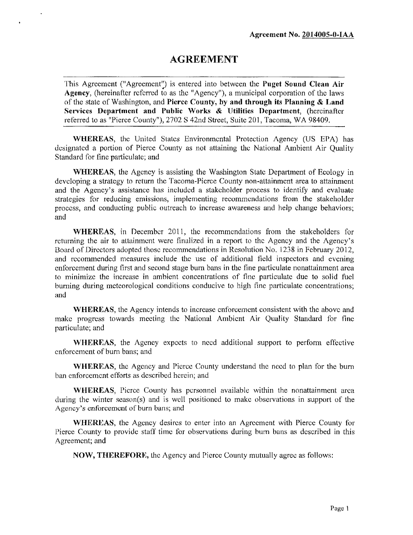# **AGREEMENT**

This Agreement ("Agreement") is entered into between the **Puget Sound Clean Air Agency,** (hereinafter referred to as the "Agency"), a municipal corporation of the laws of the state of Washington, and **Pierce County, by and through its Planning & Land Services Department and Public Works & Utilities Department,** (hereinafter referred to as "Pierce County"), 2702 S 42nd Street, Suite 201, Tacoma, WA 98409.

**WHEREAS,** the United States Environmental Protection Agency (US EPA) has designated a portion of Pierce County as not attaining die National Ambient Air Quality Standard for fine particulate; and

**WHEREAS,** the Agency is assisting the Washington State Department of Ecology in developing a strategy to return the Tacoma-Picrce County non-attainment area to attainment and the Agency's assistance has included a stakeholder process to identify and evaluate strategies for reducing emissions, implementing recommendations from the stakeholder process, and conducting public outreach to increase awareness and help change behaviors; and

**WHEREAS,** in December 2011, the recommendations from the stakeholders for returning the air to attainment were finalized in a report to the Agency and the Agency's Board of Directors adopted those recommendations in Resolution No. 1238 in February 2012, and recommended measures include the use of additional field inspectors and evening enforcement during first and second stage burn bans in the fine particulate nonattainment area to minimize the increase in ambient concentrations of fine particulate due to solid fuel burning during meteorological conditions conducive to high fine particulate concentrations; and

**WHEREAS,** the Agency intends to increase enforcement consistent with the above and make progress towards meeting the National Ambient Air Quality Standard for fine particulate; and

**WHEREAS,** the Agency expects to need additional support to perform effective enforcement of burn bans; and

**WHEREAS,** the Agency and Pierce County understand the need to plan for the burn ban enforcement efforts as described herein; and

**WHEREAS,** Pierce County has personnel available within the nonattainment area during the winter season(s) and is well positioned to make observations in support of the Agency's enforcement of burn bans; and

**WHEREAS,** the Agency desires to enter into an Agreement with Pierce County for Pierce County to provide staff time for observations during bum bans as described in this Agreement; and

**NOW, THEREFORE,** the Agency and Pierce County mutually agree as follows: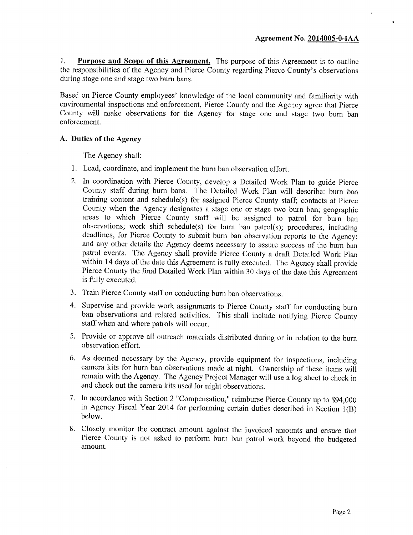**1. Purpose and Scope of this Agreement.** The purpose of this Agreement is to outline the responsibilities of the Agency and Pierce County regarding Pierce County's observations during stage one and stage two burn bans.

Based on Pierce County employees' knowledge of the local community and familiarity with environmental inspections and enforcement, Pierce County and the Agency agree that Pierce County will make observations for the Agency for stage one and stage two bum ban enforcement.

#### **A. Duties of the Agency**

The Agency shall:

- 1. Lead, coordinate, and implement the burn ban observation effort.
- 2. In coordination with Pierce County, develop a Detailed Work Plan to guide Pierce County staff during burn bans. The Detailed Work Plan will describe: bum ban training content and schedule(s) for assigned Pierce County staff; contacts at Pierce County when the Agency designates a stage one or stage two burn ban; geographic areas to which Pierce County staff will be assigned to patrol for burn ban observations; work shift schedule(s) for burn ban patrol(s); procedures, including deadlines, for Pierce County to submit burn ban observation reports to the Agency; and any other details the Agency deems necessary to assure success of the burn ban patrol events. The Agency shall provide Pierce County a draft Detailed Work Plan within 14 days of the date this Agreement is fully executed. The Agency shall provide Pierce County the final Detailed Work Plan within 30 days of the date this Agreement is fully executed.
- 3. Train Pierce County staff on conducting burn ban observations.
- 4. Supervise and provide work assignments to Pierce County staff for conducting burn ban observations and related activities. This shall include notifying Pierce County staff when and where patrols will occur.
- 5. Provide or approve all outreach materials distributed during or in relation to the burn observation effort.
- 6. As deemed necessary by the Agency, provide equipment for inspections, including camera kits for burn ban observations made at night. Ownership of these items will remain with the Agency. The Agency Project Manager will use a log sheet to check in and check out the camera kits used for night observations.
- 7. In accordance with Section 2 "Compensation," reimburse Pierce County up to \$94,000 in Agency Fiscal Year 2014 for performing certain duties described in Section 1(B) below.
- 8. Closely monitor the contract amount against the invoiced amounts and ensure that Pierce County is not asked to perform burn ban patrol work beyond the budgeted amount.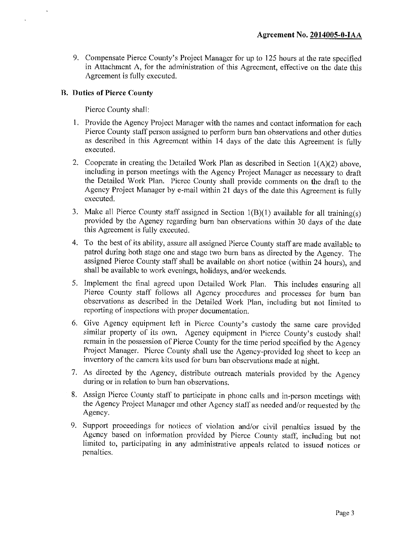9. Compensate Pierce County's Project Manager for up to 125 hours at the rate specified in Attachment A, for the administration of this Agreement, effective on the date this Agreement is fully executed.

### **B. Duties of Pierce County**

Pierce County shall:

- 1. Provide the Agency Project Manager with the names and contact information for each Pierce County staff person assigned to perform burn ban observations and other duties as described in this Agreement within 14 days of the date this Agreement is fully executed.
- 2. Cooperate in creating the Detailed Work Plan as described in Section  $1(A)(2)$  above, including in person meetings with the Agency Project Manager as necessary to draft the Detailed Work Plan. Pierce County shall provide comments on the draft to the Agency Project Manager by e-mail within 21 days of the date this Agreement is fully executed.
- 3. Make all Pierce County staff assigned in Section 1(B)(1) available for all training(s) provided by the Agency regarding burn ban observations within 30 days of the date this Agreement is fully executed.
- 4. To the best of its ability, assure all assigned Pierce County staff are made available to patrol during both stage one and stage two bum bans as directed by the Agency. The assigned Pierce County staff shall be available on short notice (within 24 hours), and shall be available to work evenings, holidays, and/or weekends.
- 5. Implement the final agreed upon Detailed Work Plan. This includes ensuring all Pierce County staff follows all Agency procedures and processes for burn ban observations as described in the Detailed Work Plan, including but not limited to reporting of inspections with proper documentation.
- 6. Give Agency equipment left in Pierce Comity's custody the same care provided similar property of its own. Agency equipment in Pierce County's custody shall remain in the possession of Pierce County for the time period specified by the Agency Project Manager. Pierce County shall use the Agency-provided log sheet to keep an inventory of the camera kits used for burn ban observations made at night.
- 7. As directed by the Agency, distribute outreach materials provided by the Agency during or in relation to burn ban observations.
- 8. Assign Pierce County staff to participate in phone calls and in-pcrson meetings with the Agency Project Manager and other Agency staff as needed and/or requested by the Agency.
- 9. Support proceedings for notices of violation and/or civil penalties issued by the Agency based on information provided by Pierce County staff, including but not limited to, participating in any administrative appeals related to issued notices or penalties.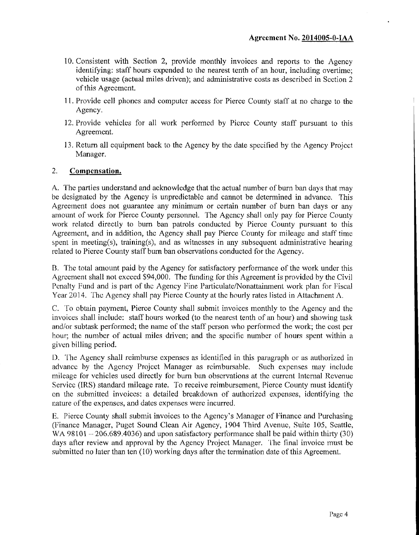- 10. Consistent with Section 2, provide monthly invoices and reports to the Agency identifying: staff hours expended to the nearest tenth of an hour, including overtime; vehicle usage (actual miles driven); and administrative costs as described in Section 2 of this Agreement.
- 11. Provide cell phones and computer access for Pierce County staff at no charge to the Agency.
- 12. Provide vehicles for all work performed by Pierce County staff pursuant to this Agreement.
- 13. Return all equipment back to the Agency by the date specified by the Agency Project Manager.

### **2. Compensation.**

A. The parties understand and acknowledge that the actual number of burn ban days that may be designated by the Agency is unpredictable and cannot be determined in advance. This Agreement does not guarantee any minimum or certain number of burn ban days or any amount of work for Pierce County personnel. The Agency shall only pay for Pierce County work related directly to burn ban patrols conducted by Pierce County pursuant to this Agreement, and in addition, the Agency shall pay Pierce County for mileage and staff time spent in meeting(s), training(s), and as witnesses in any subsequent administrative hearing related to Pierce County staff burn ban observations conducted for the Agency.

B. The total amount paid by the Agency for satisfactory performance of the work under this Agreement shall not exceed \$94,000. The funding for mis Agreement is provided by the Civil Penalty Fund and is part of the Agency Fine Particulate/Nonattainment work plan for Fiscal Year 2014. The Agency shall pay Pierce County at the hourly rates listed in Attachment A.

C. To obtain payment, Pierce County shall submit invoices monthly to the Agency and the invoices shall include: staff hours worked (to the nearest tenth of an hour) and showing task and/or subtask performed; the name of the staff person who performed the work; the cost per hour; the number of actual miles driven; and the specific number of hours spent within a given billing period.

D. The Agency shall reimburse expenses as identified in this paragraph or as authorized in advance by the Agency Project Manager as reimbursable. Such expenses may include mileage for vehicles used directly for bum ban observations at the current Internal Revenue Service (IRS) standard mileage rate. To receive reimbursement, Pierce County must identify on the submitted invoices: a detailed breakdown of authorized expenses, identifying the nature of the expenses, and dates expenses were incurred.

E. Pierce County shall submit invoices to the Agency's Manager of Finance and Purchasing (Finance Manager, Puget Sound Clean Air Agency, 1904 Third Avenue, Suite 105, Seattle, WA 98101  $-206.689.4036$  and upon satisfactory performance shall be paid within thirty (30) days after review and approval by the Agency Project Manager. The final invoice must be submitted no later than ten (10) working days after the termination date of this Agreement.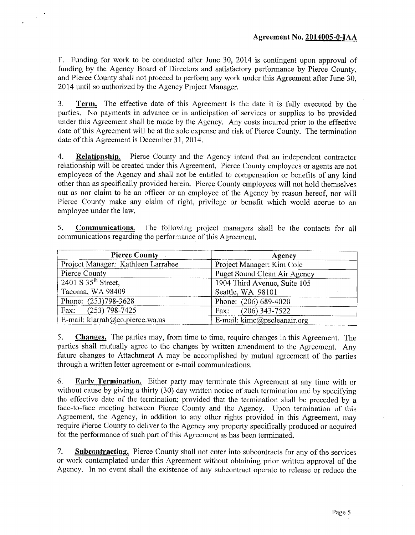F. Funding for work to be conducted after June 30, 2014 is contingent upon approval of funding by the Agency Board of Directors and satisfactory performance by Pierce County, and Pierce County shall not proceed to perform any work under this Agreement after June 30, 2014 until so authorized by the Agency Project Manager.

**3. Term.** The effective date of this Agreement is the date it is fully executed by the parties. No payments in advance or in anticipation of services or supplies to be provided under this Agreement shall be made by the Agency. Any costs incurred prior to the effective date of this Agreement will be at the sole expense and risk of Pierce County. The termination date of this Agreement is December 31,2014.

**4. Relationship.** Pierce County and the Agency intend that an independent contractor relationship will be created under this Agreement. Pierce County employees or agents are not employees of the Agency and shall not be entitled to compensation or benefits of any kind other than as specifically provided herein. Pierce County employees will not hold themselves out as nor claim to be an officer or an employee of the Agency by reason hereof, nor will Pierce County make any claim of right, privilege or benefit which would accrue to an employee under the law.

**5. Communications.** The following project managers shall be the contacts for all communications regarding the performance of this Agreement.

| <b>Pierce County</b>               | Agency                       |  |  |
|------------------------------------|------------------------------|--|--|
| Project Manager: Kathleen Larrabee | Project Manager: Kim Cole    |  |  |
| Pierce County                      | Puget Sound Clean Air Agency |  |  |
| 2401 S 35 <sup>th</sup> Street,    | 1904 Third Avenue, Suite 105 |  |  |
| Tacoma, WA 98409                   | Seattle, WA 98101            |  |  |
| Phone: (253)798-3628               | Phone: (206) 689-4020        |  |  |
| Fax: $(253)$ 798-7425              | Fax: $(206)$ 343-7522        |  |  |
| E-mail: klarrab@co.pierce.wa.us    | E-mail: kimc@pscleanair.org  |  |  |

**5. Changes.** The parties may, from time to time, require changes in this Agreement. The parties shall mutually agree to the changes by written amendment to the Agreement. Any future changes to Attachment A may be accomplished by mutual agreement of the parties through a written letter agreement or e-mail communications,

**6. Early Termination.** Either party may terminate this Agreement at any time with or without cause by giving a thirty (30) day written notice of such termination and by specifying the effective date of the termination; provided that the termination shall be preceded by a face-to-face meeting between Pierce County and the Agency. Upon termination of this Agreement, the Agency, in addition to any other rights provided in this Agreement, may require Pierce County to deliver to the Agency any property specifically produced or acquired for the performance of such part of this Agreement as has been terminated.

**7. Subcontracting.** Pierce County shall not enter into subcontracts for any of the services or work contemplated under this Agreement without obtaining prior written approval of the Agency. In no event shall the existence of any subcontract operate to release or reduce the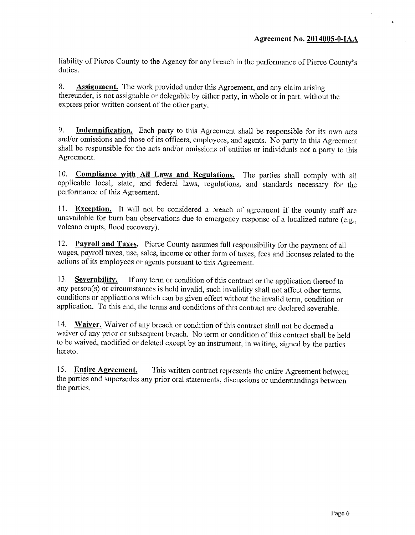liability of Pierce County to the Agency for any breach in the performance of Pierce County's duties.

**8. Assignment.** The work provided under this Agreement, and any claim arising thereunder, is not assignable or delegable by either party, in whole or in part, without the express prior written consent of the other party.

**9. Indemnification.** Each party to this Agreement shall be responsible for its own acts and/or omissions and those of its officers, employees, and agents. No party to this Agreement shall be responsible for the acts and/or omissions of entities or individuals not a party to this Agreement.

10. **Compliance with AH Laws and Regulations.** The parties shall comply with all applicable local, state, and federal laws, regulations, and standards necessary for the performance of this Agreement.

11. **Exception.** It will not be considered a breach of agreement if the county staff are unavailable for burn ban observations due to emergency response of a localized nature (e.g., volcano erupts, flood recovery).

12. Payroll and Taxes. Pierce County assumes full responsibility for the payment of all wages, payroll taxes, use, sales, income or other form of taxes, fees and licenses related to the actions of its employees or agents pursuant to this Agreement.

13. Severability. If any term or condition of this contract or the application thereof to any person(s) or circumstances is held invalid, such invalidity shall not affect other terms, conditions or applications which can be given effect without the invalid term, condition or application. To this end, the terms and conditions of this contract are declared severable.

14. **Waiver.** Waiver of any breach or condition of this contract shall not be deemed a waiver of any prior or subsequent breach. No term or condition of this contract shall be held to be waived, modified or deleted except by an instrument, in writing, signed by the parties hereto.

15. **Entire Agreement.** This written contract represents the entire Agreement between the parties and supersedes any prior oral statements, discussions or understandings between the parties.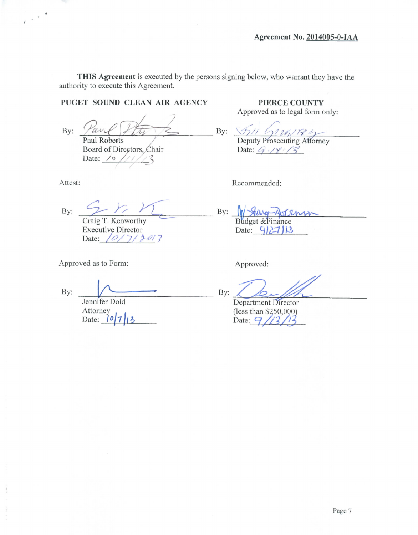**THIS Agreement** is executed by the persons signing below, who warrant they have the authority to execute this Agreement.

### **PUGET SOUND CLEAN AIR AGENCY**

By: Paul Roberts

Board of Directors, Chair<br>Date: <u>/o ////3</u> Date:  $\sqrt{\circ}$ 

 $\sim$   $^{-4}$ 

 $2 - 17$ By: Craig T. Kenworthy

Executive Director Date: 1*0/7/301*7

Approved as to Form:

By:

Jennifer Dold Attorney Date:  $\frac{10}{7}$ 13

**PIERCE COUNTY** Approved as to legal form only:

By: Deputy Prosecuting Attorney Date:  $9/8/3$ 

Attest: Recommended:

By: Budget &Finance Date:  $9/27$ 

Approved:

By:

Department Director (less than \$250,000) Date:  $9/3$